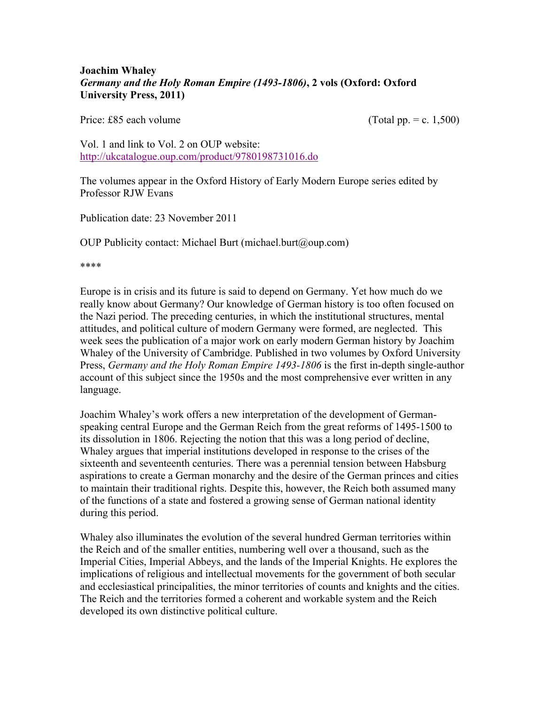## **Joachim Whaley** *Germany and the Holy Roman Empire (1493-1806)***, 2 vols (Oxford: Oxford University Press, 2011)**

Price: £85 each volume (Total pp. = c. 1,500)

Vol. 1 and link to Vol. 2 on OUP website: http://ukcatalogue.oup.com/product/9780198731016.do

The volumes appear in the Oxford History of Early Modern Europe series edited by Professor RJW Evans

Publication date: 23 November 2011

OUP Publicity contact: Michael Burt (michael.burt@oup.com)

\*\*\*\*

Europe is in crisis and its future is said to depend on Germany. Yet how much do we really know about Germany? Our knowledge of German history is too often focused on the Nazi period. The preceding centuries, in which the institutional structures, mental attitudes, and political culture of modern Germany were formed, are neglected. This week sees the publication of a major work on early modern German history by Joachim Whaley of the University of Cambridge. Published in two volumes by Oxford University Press, *Germany and the Holy Roman Empire 1493-1806* is the first in-depth single-author account of this subject since the 1950s and the most comprehensive ever written in any language.

Joachim Whaley's work offers a new interpretation of the development of Germanspeaking central Europe and the German Reich from the great reforms of 1495-1500 to its dissolution in 1806. Rejecting the notion that this was a long period of decline, Whaley argues that imperial institutions developed in response to the crises of the sixteenth and seventeenth centuries. There was a perennial tension between Habsburg aspirations to create a German monarchy and the desire of the German princes and cities to maintain their traditional rights. Despite this, however, the Reich both assumed many of the functions of a state and fostered a growing sense of German national identity during this period.

Whaley also illuminates the evolution of the several hundred German territories within the Reich and of the smaller entities, numbering well over a thousand, such as the Imperial Cities, Imperial Abbeys, and the lands of the Imperial Knights. He explores the implications of religious and intellectual movements for the government of both secular and ecclesiastical principalities, the minor territories of counts and knights and the cities. The Reich and the territories formed a coherent and workable system and the Reich developed its own distinctive political culture.